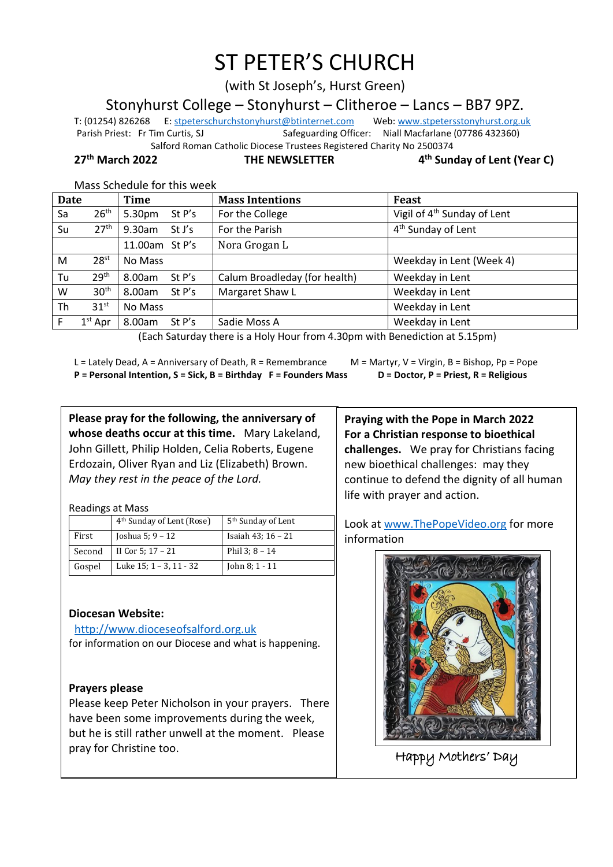# ST PETER'S CHURCH

(with St Joseph's, Hurst Green)

Stonyhurst College – Stonyhurst – Clitheroe – Lancs – BB7 9PZ.

T: (01254) 826268 E[: stpeterschurchstonyhurst@btinternet.com](mailto:stpeterschurchstonyhurst@btinternet.com) Web[: www.stpetersstonyhurst.org.uk](http://www.stpetersstonyhurst.org.uk/) Parish Priest: Fr Tim Curtis, SJ Safeguarding Officer: Niall Macfarlane (07786 432360) Salford Roman Catholic Diocese Trustees Registered Charity No 2500374

**27th March 2022 THE NEWSLETTER 4**

**th Sunday of Lent (Year C)**

Mass Schedule for this week

| Date |                  | Time               | <b>Mass Intentions</b>        | Feast                                   |
|------|------------------|--------------------|-------------------------------|-----------------------------------------|
| Sa   | 26 <sup>th</sup> | 5.30pm<br>St P's   | For the College               | Vigil of 4 <sup>th</sup> Sunday of Lent |
| Su   | 27 <sup>th</sup> | 9.30am<br>St J's   | For the Parish                | 4 <sup>th</sup> Sunday of Lent          |
|      |                  | 11.00am St P's     | Nora Grogan L                 |                                         |
| M    | 28 <sup>st</sup> | No Mass            |                               | Weekday in Lent (Week 4)                |
| Tu   | 29 <sup>th</sup> | 8.00am<br>St P's   | Calum Broadleday (for health) | Weekday in Lent                         |
| W    | 30 <sup>th</sup> | 8.00am<br>St $P's$ | Margaret Shaw L               | Weekday in Lent                         |
| Th   | 31 <sup>st</sup> | No Mass            |                               | Weekday in Lent                         |
|      | $1st$ Apr        | 8.00am<br>St $P's$ | Sadie Moss A                  | Weekday in Lent                         |

(Each Saturday there is a Holy Hour from 4.30pm with Benediction at 5.15pm)

L = Lately Dead, A = Anniversary of Death, R = Remembrance  $M =$  M = Martyr, V = Virgin, B = Bishop, Pp = Pope **P = Personal Intention, S = Sick, B = Birthday F = Founders Mass D = Doctor, P = Priest, R = Religious**

**Please pray for the following, the anniversary of whose deaths occur at this time.** Mary Lakeland, John Gillett, Philip Holden, Celia Roberts, Eugene Erdozain, Oliver Ryan and Liz (Elizabeth) Brown. *May they rest in the peace of the Lord.*

Readings at Mass

|        | 4 <sup>th</sup> Sunday of Lent (Rose) | 5 <sup>th</sup> Sunday of Lent |
|--------|---------------------------------------|--------------------------------|
| First  | Joshua 5: 9 - 12                      | Isaiah 43; 16 - 21             |
| Second | II Cor 5; $17 - 21$                   | Phil $3:8 - 14$                |
| Gospel | Luke 15; 1 – 3, 11 - 32               | John $8:1 - 11$                |

## **Diocesan Website:**

http://www.dioceseofsalford.org.uk for information on our Diocese and what is happening.

#### **Prayers please**

Please keep Peter Nicholson in your prayers. There have been some improvements during the week, but he is still rather unwell at the moment. Please pray for Christine too.

**Praying with the Pope in March 2022 For a Christian response to bioethical challenges.** We pray for Christians facing new bioethical challenges: may they continue to defend the dignity of all human life with prayer and action.

Look at www.ThePopeVideo.org for more information



Happy Mothers' Day  $\overline{a}$